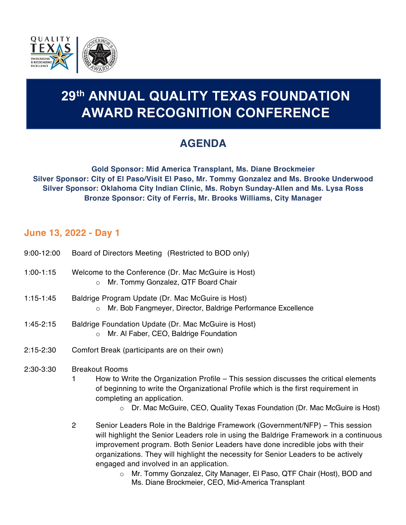

# **29th ANNUAL QUALITY TEXAS FOUNDATION AWARD RECOGNITION CONFERENCE 29th ANNUAL QUALITY TEXAS FOUNDATION AWARD RECOGNITION CONFERENCE**

# **AGENDA**

**Gold Sponsor: Mid America Transplant, Ms. Diane Brockmeier Silver Sponsor: City of El Paso/Visit El Paso, Mr. Tommy Gonzalez and Ms. Brooke Underwood Silver Sponsor: Oklahoma City Indian Clinic, Ms. Robyn Sunday-Allen and Ms. Lysa Ross Bronze Sponsor: City of Ferris, Mr. Brooks Williams, City Manager** 

# **June 13, 2022 - Day 1**

| $9:00 - 12:00$ | Board of Directors Meeting (Restricted to BOD only)                                                                 |
|----------------|---------------------------------------------------------------------------------------------------------------------|
| $1:00-1:15$    | Welcome to the Conference (Dr. Mac McGuire is Host)<br>o Mr. Tommy Gonzalez, QTF Board Chair                        |
| 1:15-1:45      | Baldrige Program Update (Dr. Mac McGuire is Host)<br>o Mr. Bob Fangmeyer, Director, Baldrige Performance Excellence |

- 1:45-2:15 Baldrige Foundation Update (Dr. Mac McGuire is Host) o Mr. Al Faber, CEO, Baldrige Foundation
- 2:15-2:30 Comfort Break (participants are on their own)
- 2:30-3:30 Breakout Rooms
	- 1 How to Write the Organization Profile This session discusses the critical elements of beginning to write the Organizational Profile which is the first requirement in completing an application.
		- o Dr. Mac McGuire, CEO, Quality Texas Foundation (Dr. Mac McGuire is Host)

2 Senior Leaders Role in the Baldrige Framework (Government/NFP) – This session will highlight the Senior Leaders role in using the Baldrige Framework in a continuous improvement program. Both Senior Leaders have done incredible jobs with their organizations. They will highlight the necessity for Senior Leaders to be actively engaged and involved in an application.

o Mr. Tommy Gonzalez, City Manager, El Paso, QTF Chair (Host), BOD and Ms. Diane Brockmeier, CEO, Mid-America Transplant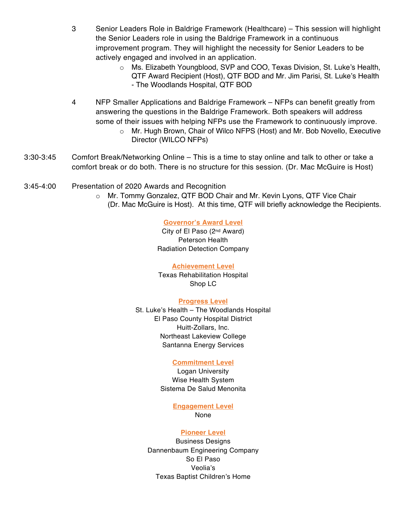- 3 Senior Leaders Role in Baldrige Framework (Healthcare) This session will highlight the Senior Leaders role in using the Baldrige Framework in a continuous improvement program. They will highlight the necessity for Senior Leaders to be actively engaged and involved in an application.
	- o Ms. Elizabeth Youngblood, SVP and COO, Texas Division, St. Luke's Health, QTF Award Recipient (Host), QTF BOD and Mr. Jim Parisi, St. Luke's Health - The Woodlands Hospital, QTF BOD
- 4 NFP Smaller Applications and Baldrige Framework NFPs can benefit greatly from answering the questions in the Baldrige Framework. Both speakers will address some of their issues with helping NFPs use the Framework to continuously improve.
	- o Mr. Hugh Brown, Chair of Wilco NFPS (Host) and Mr. Bob Novello, Executive Director (WILCO NFPs)
- 3:30-3:45 Comfort Break/Networking Online This is a time to stay online and talk to other or take a comfort break or do both. There is no structure for this session. (Dr. Mac McGuire is Host)
- 3:45-4:00 Presentation of 2020 Awards and Recognition
	- o Mr. Tommy Gonzalez, QTF BOD Chair and Mr. Kevin Lyons, QTF Vice Chair (Dr. Mac McGuire is Host). At this time, QTF will briefly acknowledge the Recipients.

### **Governor's Award Level**

City of El Paso (2nd Award) Peterson Health Radiation Detection Company

#### **Achievement Level**

Texas Rehabilitation Hospital Shop LC

#### **Progress Level**

St. Luke's Health – The Woodlands Hospital El Paso County Hospital District Huitt-Zollars, Inc. Northeast Lakeview College Santanna Energy Services

#### **Commitment Level**

Logan University Wise Health System Sistema De Salud Menonita

# **Engagement Level**

None

#### **Pioneer Level**

Business Designs Dannenbaum Engineering Company So El Paso Veolia's Texas Baptist Children's Home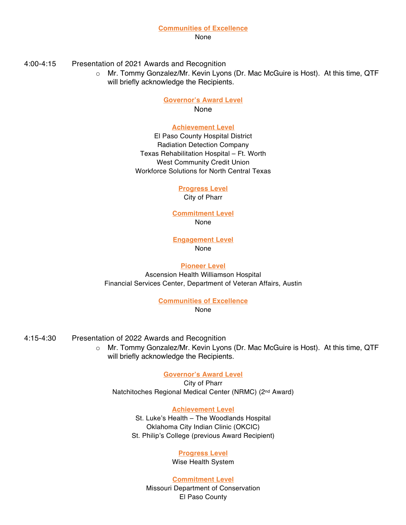None

4:00-4:15 Presentation of 2021 Awards and Recognition

o Mr. Tommy Gonzalez/Mr. Kevin Lyons (Dr. Mac McGuire is Host). At this time, QTF will briefly acknowledge the Recipients.

#### **Governor's Award Level**  None

#### **Achievement Level**

El Paso County Hospital District Radiation Detection Company Texas Rehabilitation Hospital – Ft. Worth West Community Credit Union Workforce Solutions for North Central Texas

# **Progress Level**

City of Pharr

**Commitment Level** None

**Engagement Level** None

## **Pioneer Level**

Ascension Health Williamson Hospital Financial Services Center, Department of Veteran Affairs, Austin

**Communities of Excellence**

None

- 4:15-4:30 Presentation of 2022 Awards and Recognition
	- o Mr. Tommy Gonzalez/Mr. Kevin Lyons (Dr. Mac McGuire is Host). At this time, QTF will briefly acknowledge the Recipients.

# **Governor's Award Level**

City of Pharr Natchitoches Regional Medical Center (NRMC) (2<sup>nd</sup> Award)

# **Achievement Level**

St. Luke's Health – The Woodlands Hospital Oklahoma City Indian Clinic (OKCIC) St. Philip's College (previous Award Recipient)

# **Progress Level**

Wise Health System

# **Commitment Level**

Missouri Department of Conservation El Paso County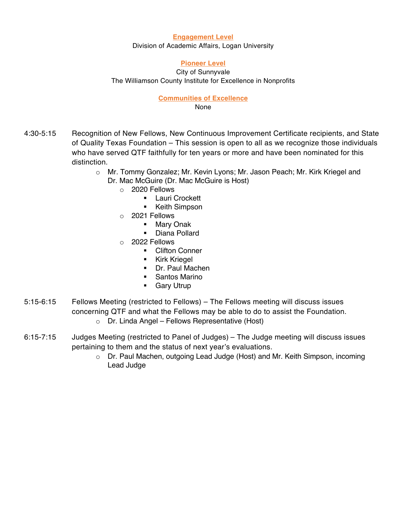#### **Engagement Level**

Division of Academic Affairs, Logan University

#### **Pioneer Level**

City of Sunnyvale The Williamson County Institute for Excellence in Nonprofits

# **Communities of Excellence**

None

- 4:30-5:15 Recognition of New Fellows, New Continuous Improvement Certificate recipients, and State of Quality Texas Foundation – This session is open to all as we recognize those individuals who have served QTF faithfully for ten years or more and have been nominated for this distinction.
	- o Mr. Tommy Gonzalez; Mr. Kevin Lyons; Mr. Jason Peach; Mr. Kirk Kriegel and
		- Dr. Mac McGuire (Dr. Mac McGuire is Host)
			- o 2020 Fellows
				- Lauri Crockett
				- Keith Simpson
			- o 2021 Fellows
				- Mary Onak
				- § Diana Pollard
			- o 2022 Fellows
				- Clifton Conner
				- § Kirk Kriegel
				- Dr. Paul Machen
				- § Santos Marino
				- **•** Gary Utrup
- 5:15-6:15 Fellows Meeting (restricted to Fellows) The Fellows meeting will discuss issues concerning QTF and what the Fellows may be able to do to assist the Foundation.
	- o Dr. Linda Angel Fellows Representative (Host)
- 6:15-7:15 Judges Meeting (restricted to Panel of Judges) The Judge meeting will discuss issues pertaining to them and the status of next year's evaluations.
	- o Dr. Paul Machen, outgoing Lead Judge (Host) and Mr. Keith Simpson, incoming Lead Judge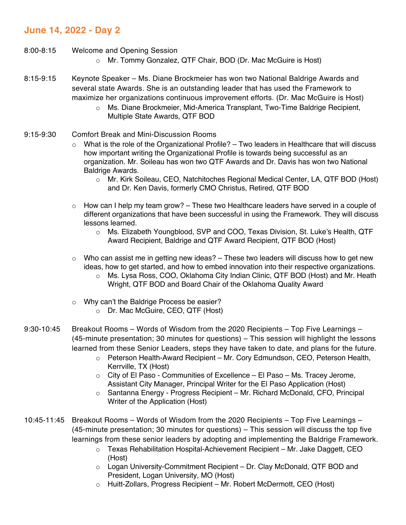# **June 14, 2022 - Day 2**

- 8:00-8:15 Welcome and Opening Session
	- o Mr. Tommy Gonzalez, QTF Chair, BOD (Dr. Mac McGuire is Host)
- 8:15-9:15 Keynote Speaker Ms. Diane Brockmeier has won two National Baldrige Awards and several state Awards. She is an outstanding leader that has used the Framework to maximize her organizations continuous improvement efforts. (Dr. Mac McGuire is Host)
	- o Ms. Diane Brockmeier, Mid-America Transplant, Two-Time Baldrige Recipient, Multiple State Awards, QTF BOD
- 9:15-9:30 Comfort Break and Mini-Discussion Rooms
	- $\circ$  What is the role of the Organizational Profile? Two leaders in Healthcare that will discuss how important writing the Organizational Profile is towards being successful as an organization. Mr. Soileau has won two QTF Awards and Dr. Davis has won two National Baldrige Awards.
		- o Mr. Kirk Soileau, CEO, Natchitoches Regional Medical Center, LA, QTF BOD (Host) and Dr. Ken Davis, formerly CMO Christus, Retired, QTF BOD
	- $\circ$  How can I help my team grow? These two Healthcare leaders have served in a couple of different organizations that have been successful in using the Framework. They will discuss lessons learned.
		- o Ms. Elizabeth Youngblood, SVP and COO, Texas Division, St. Luke's Health, QTF Award Recipient, Baldrige and QTF Award Recipient, QTF BOD (Host)
	- $\circ$  Who can assist me in getting new ideas? These two leaders will discuss how to get new ideas, how to get started, and how to embed innovation into their respective organizations.
		- o Ms. Lysa Ross, COO, Oklahoma City Indian Clinic, QTF BOD (Host) and Mr. Heath Wright, QTF BOD and Board Chair of the Oklahoma Quality Award
	- o Why can't the Baldrige Process be easier?
		- o Dr. Mac McGuire, CEO, QTF (Host)
- 9:30-10:45 Breakout Rooms Words of Wisdom from the 2020 Recipients Top Five Learnings (45-minute presentation; 30 minutes for questions) – This session will highlight the lessons learned from these Senior Leaders, steps they have taken to date, and plans for the future.
	- o Peterson Health-Award Recipient Mr. Cory Edmundson, CEO, Peterson Health, Kerrville, TX (Host)
	- $\circ$  City of El Paso Communities of Excellence El Paso Ms. Tracey Jerome, Assistant City Manager, Principal Writer for the El Paso Application (Host)
	- o Santanna Energy Progress Recipient Mr. Richard McDonald, CFO, Principal Writer of the Application (Host)
- 10:45-11:45 Breakout Rooms Words of Wisdom from the 2020 Recipients Top Five Learnings (45-minute presentation; 30 minutes for questions) – This session will discuss the top five learnings from these senior leaders by adopting and implementing the Baldrige Framework.
	- o Texas Rehabilitation Hospital-Achievement Recipient Mr. Jake Daggett, CEO (Host)
	- o Logan University-Commitment Recipient Dr. Clay McDonald, QTF BOD and President, Logan University, MO (Host)
	- o Huitt-Zollars, Progress Recipient Mr. Robert McDermott, CEO (Host)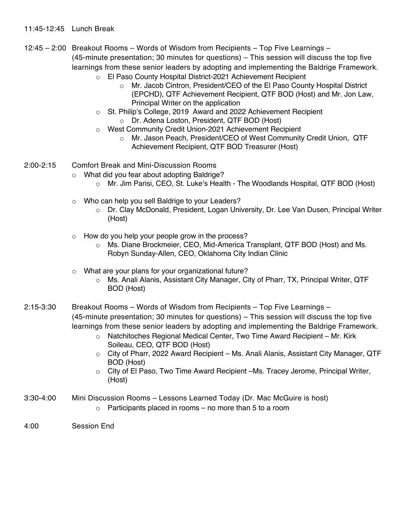# 11:45-12:45 Lunch Break

- 12:45 2:00 Breakout Rooms Words of Wisdom from Recipients Top Five Learnings (45-minute presentation; 30 minutes for questions) – This session will discuss the top five learnings from these senior leaders by adopting and implementing the Baldrige Framework.
	- o El Paso County Hospital District-2021 Achievement Recipient
		- o Mr. Jacob Cintron, President/CEO of the El Paso County Hospital District (EPCHD), QTF Achievement Recipient, QTF BOD (Host) and Mr. Jon Law, Principal Writer on the application
	- o St. Philip's College, 2019 Award and 2022 Achievement Recipient
		- o Dr. Adena Loston, President, QTF BOD (Host)
	- o West Community Credit Union-2021 Achievement Recipient
		- o Mr. Jason Peach, President/CEO of West Community Credit Union, QTF Achievement Recipient, QTF BOD Treasurer (Host)
- 2:00-2:15 Comfort Break and Mini-Discussion Rooms
	- o What did you fear about adopting Baldrige?
		- o Mr. Jim Parisi, CEO, St. Luke's Health The Woodlands Hospital, QTF BOD (Host)
	- o Who can help you sell Baldrige to your Leaders?
		- o Dr. Clay McDonald, President, Logan University, Dr. Lee Van Dusen, Principal Writer (Host)
	- o How do you help your people grow in the process?
		- o Ms. Diane Brockmeier, CEO, Mid-America Transplant, QTF BOD (Host) and Ms. Robyn Sunday-Allen, CEO, Oklahoma City Indian Clinic
	- o What are your plans for your organizational future?
		- o Ms. Anali Alanis, Assistant City Manager, City of Pharr, TX, Principal Writer, QTF BOD (Host)
- 2:15-3:30 Breakout Rooms Words of Wisdom from Recipients Top Five Learnings (45-minute presentation; 30 minutes for questions) – This session will discuss the top five learnings from these senior leaders by adopting and implementing the Baldrige Framework.
	- o Natchitoches Regional Medical Center, Two Time Award Recipient Mr. Kirk Soileau, CEO, QTF BOD (Host)
	- o City of Pharr, 2022 Award Recipient Ms. Anali Alanis, Assistant City Manager, QTF BOD (Host)
	- $\circ$  City of El Paso, Two Time Award Recipient –Ms. Tracey Jerome, Principal Writer, (Host)
- 3:30-4:00 Mini Discussion Rooms Lessons Learned Today (Dr. Mac McGuire is host)
	- $\circ$  Participants placed in rooms no more than 5 to a room
- 4:00 Session End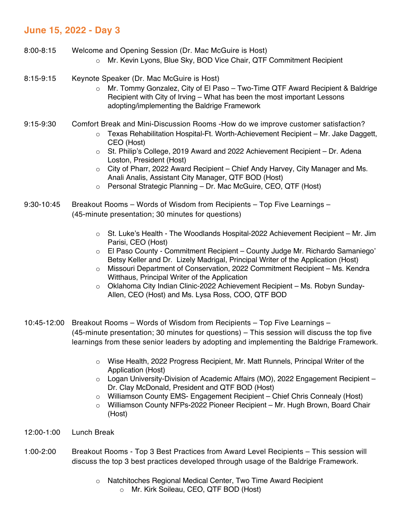# **June 15, 2022 - Day 3**

- 8:00-8:15 Welcome and Opening Session (Dr. Mac McGuire is Host)
	- o Mr. Kevin Lyons, Blue Sky, BOD Vice Chair, QTF Commitment Recipient
- 8:15-9:15 Keynote Speaker (Dr. Mac McGuire is Host)
	- o Mr. Tommy Gonzalez, City of El Paso Two-Time QTF Award Recipient & Baldrige Recipient with City of Irving – What has been the most important Lessons adopting/implementing the Baldrige Framework
- 9:15-9:30 Comfort Break and Mini-Discussion Rooms -How do we improve customer satisfaction?
	- $\circ$  Texas Rehabilitation Hospital-Ft. Worth-Achievement Recipient Mr. Jake Daggett, CEO (Host)
	- $\circ$  St. Philip's College, 2019 Award and 2022 Achievement Recipient Dr. Adena Loston, President (Host)
	- o City of Pharr, 2022 Award Recipient Chief Andy Harvey, City Manager and Ms. Anali Analis, Assistant City Manager, QTF BOD (Host)
	- o Personal Strategic Planning Dr. Mac McGuire, CEO, QTF (Host)
- 9:30-10:45 Breakout Rooms Words of Wisdom from Recipients Top Five Learnings (45-minute presentation; 30 minutes for questions)
	- $\circ$  St. Luke's Health The Woodlands Hospital-2022 Achievement Recipient Mr. Jim Parisi, CEO (Host)
	- o El Paso County Commitment Recipient County Judge Mr. Richardo Samaniego' Betsy Keller and Dr. Lizely Madrigal, Principal Writer of the Application (Host)
	- o Missouri Department of Conservation, 2022 Commitment Recipient Ms. Kendra Witthaus, Principal Writer of the Application
	- $\circ$  Oklahoma City Indian Clinic-2022 Achievement Recipient Ms. Robyn Sunday-Allen, CEO (Host) and Ms. Lysa Ross, COO, QTF BOD
- 10:45-12:00 Breakout Rooms Words of Wisdom from Recipients Top Five Learnings (45-minute presentation; 30 minutes for questions) – This session will discuss the top five learnings from these senior leaders by adopting and implementing the Baldrige Framework.
	- o Wise Health, 2022 Progress Recipient, Mr. Matt Runnels, Principal Writer of the Application (Host)
	- o Logan University-Division of Academic Affairs (MO), 2022 Engagement Recipient Dr. Clay McDonald, President and QTF BOD (Host)
	- o Williamson County EMS- Engagement Recipient Chief Chris Connealy (Host)
	- o Williamson County NFPs-2022 Pioneer Recipient Mr. Hugh Brown, Board Chair (Host)
- 12:00-1:00 Lunch Break
- 1:00-2:00 Breakout Rooms Top 3 Best Practices from Award Level Recipients This session will discuss the top 3 best practices developed through usage of the Baldrige Framework.
	- o Natchitoches Regional Medical Center, Two Time Award Recipient
		- o Mr. Kirk Soileau, CEO, QTF BOD (Host)